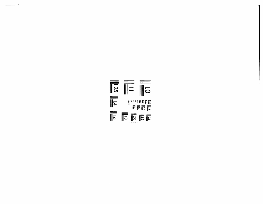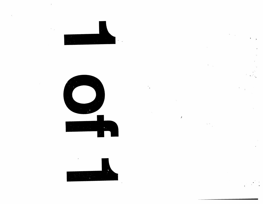**The Co**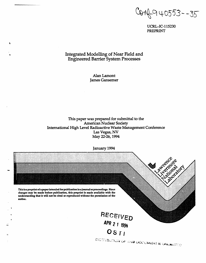$Cenf - 940553 - -35$ 

**UCRL-JC-115230** PREPRINT

# Integrated Modelling of Near Field and **Engineered Barrier System Processes**

Alan Lamont **James Gansemer** 

This paper was prepared for submittal to the **American Nuclear Society** International High Level Radioactive Waste Management Conference Las Vegas, NV May 22-26, 1994



January 1994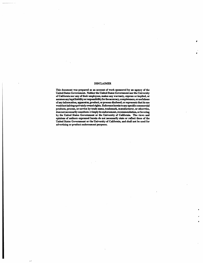### **DISCLAIMER**

**This docum**e**nt was prepared as an account of work sponsor**e**d by an agency of the United Stat**e**s Government. N**e**ith**e**r the United States Governm**e**nt nor the Univ**e**rsity of California nor any oftheir** e**mployees, makes any warranty, express or impli**e**d, or** assumes any legal liability or responsibility for the accuracy, completeness, or usefulness **of any information***,* **apparatus***,* **product***,* **or process disclosed***,* **or represents that its use wo**l**d d not infringe privat**e**ly own**e**d rights. Referenc**e **her**e**in to any sp**e**cific commercial products, proc**e**ss, or service by trad**e **nam**e**, trademark, manufactur**e**r, or oth**e**rwis**e**, does not n**e**c**e**ssarily constitute** \_**'wimply its endorsemmt, r**e**commendation, or favoring by the Unit**e**d Stat**e*s* **Government or th**e **University of California. The vi**e**ws and opinions of authors expr**e**ssed h**e**rein do not necessarily state or refl**e**ct those of the United States Gov**e**rnm**e**nt or th**e **University of California, and shall n**e**t b**e **used for advertising or product endorsement purposes.**

 $\sim$   $\mu$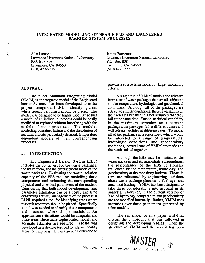## **INTEGRATED MODELLING** O**F NEAR FIELD AND ENGINEERED BAKRIER SYSTEM PROCESSES**

Alan Lamont<br>
Lawrence Livermore National Laboratory<br>
Lawrence Livermore National Laboratory<br>
Lawrence Livermore National Laboratory Lawrence Livermore National Laboratory Lawrence Live<br>P.O. Box 808 P.O. Box 808 P.O. Box 808<br>
Livermore, CA 94550<br>
Livermore, CA 94550 Livermore, CA 94550 Livermore, CA (510) 423-2575 (510) 422-7553  $(510)$  423-2575

### **ABSTRACT**

(YMIM) is an integrated model of the Engineered from a set of waste packages that are all subject to barrier System. has been developed to assist similar temperature, hydrologic, and geochemical barrier System. has been developed to assist similar temperature, hydrologic, and geochemical project managers at LLNL in identifying areas conditions. Although all of the packages are project managers at LLNL in identifying areas conditions. Although all of the packages are where research emphasis should be placed. The subject to similar conditions, there is variability in where research emphasis should be placed. The subject to similar conditions, there is variability in model was designed to be highly modular so that their releases because it is not assumed that they model was designed to be highly modular so that their releases because it is not assumed that they a model of an individual process could be easily fail at the same time. Due to statistical variability **a** model of an **i**ndivi**d**ual **p**rocess co**u**ld be eas**i**ly fail at the same time. Due to statistical vari**a**b**i**lity modified or replaced without interfering with the models of other processes. The modules modelling container failure and the dissolution of will release nuclides at different rates. To model<br>nuclides include particularly detailed, temperature all of the packages in a repository, which would nuclides include particularly detailed, temperature all of the packages in a repository, which would dependent models of their corresponding be subjected to a range of temperatures, dependent models of their corresponding processes.

### I. INTRO**D**UCTION

includes the containers for the waste packages, the performance of the EBS is strongly the waste form, and the emplacement mode of the influenced by the temperature, hydrology, and the waste form, and the emplacement mode of the influenced by the temperature, hydrology, and waste packages. Evaluating the waste isolation geochemistry at the repository horizon. These, in waste packages. Evaluating the waste isolation geochemistry at the repository horizon. These, in capacity of the EBS requires modelling these turn, are influenced by engineering decisions capacity of the EBS requires modelling these components and estimating the corresponding physical and chemical parameters of the models. • areal heat loading. YMIM has been designed to Considering that both model development and take these considerations into account in its Considering that both model development and take these considerations into account in its parameter estimation can be a costly and time analysis. However, in the current version of parameter estimation can be a costly and time analysis. However, in the current version of consuming activity, management of the process at YMIM hydrology, temperature and geochemistry consuming activity, management of the process at YMIM hydrology, temperature and geochemistry<br>LLNL required a tool for identifying areas where are not modelled internally. Rather, YMIM uses LLNL required a tool for identifying areas where are not modelled internally. Rather, YMIM uses research resources should be placed. Specifically scenarios over these phenomena generated by research resources should be placed. Specifically scenarios over a tool was needed to identify those components other models. a tool was needed to identify those components and processes where simple models and*/*or approximate estimations would be adequate, and The remainder of this paper will first those areas where more sophisticated models and discuss the philosophy that was followed in those areas where more sophisticated models and discuss the philosophy that was followed in accurate estimates are required. YMIM was designing and developing YMIM. Then the accurate estimates are required. YMIM was designing and developing YMIM. Then the developed as a flexible test bed to help us identify structure of YMIM and the way it has been developed as a flexible test bed to help us identify areas for emphasis. It has also been extended to

pr**o**vide a s**o**ur*c*e term model for larger modelling

The Yucca Mountain Integrating Model A single run of YMIM models the releases (M) is an integrated model of the Engineered from a set of waste packages that are all subject to packages, the packages fail at different times and<br>will release nuclides at different rates. To model hydrologic conditions, and geochemistry con**d**itions, several ru**n**s of YMIM are **mad**e an**d** the results added together.

Although the EBS may be limited to the The Engineered Barrier System (EBS) waste package and its immediate surroundings, des the containers for the waste packages, the performance of the EBS is strongly about waste package placement, fuel age, and areal heat loading. YMIM has been designed to



 $\mathbf{1}$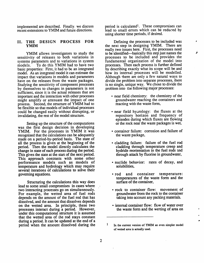# II. THE DESIGN PROCESS FOR Defining the processes to be included was *MIM* There are

systems parameters and to variations in system models. To do this YMIM had to have two basic properties: First, it had to be an integrated by describing exactly what its scope will be and model. As an integrated model it can estimate the how its internal processes will be modelled. model. As an integrated model it can estimate the how its internal processes will be modelled.<br>
impact that variations in models and parameters Although there are only a few natural ways to impact that variations in models and parameters have on the releases from the waste packages. Studying the sensitivity of component processes is no single, unique way. We chose to divide by themselves to changes in parameters is not problem into the following major processes: by themselves to changes in parameters is not sufficient, since it is the actual releases that are important and the interaction with other processes might amplify or attenuate the impact of one groundwater reaching the containers are groundwater reaching the containers and groundwater reaching the containers and groundwater reaching with the waste form, process. Second, the structure of YMIM had to be flexible so that models of individual processes could be changed easily without disrupting, or <br>invalidating, the rest of the model structure.<br>The expository horizon and frequency of invalidating, the rest of the model structure.

Setting up the structure of the computations was the first design decision in developing YMIM. For the processes in YMIM it was vecontainer failure: corrosion and failure of recognized that the calculations can be adequately the waste package, recognized that the calculations can be adequately made on a period-by-period basis. The state of all the process is given at the beginning of the  $\cdot$  cladding failure: failure of the fuel rod period. Then the model directly calculates the cladding through temperature creep and period. Then the model directly calculates the cladding through temperature creep and change in state of each process during the period. <br>
When the fuel roots and change in state of each process during the period.<br>
This gives the state at the start of the next period.<br> **Conserved** through attack by fluorine in groundwater, This gives the state at the start of the next period. This approach contrasts with some other performance models such as models of • nuclide behavior: rates of decay, and temperature and hydrology which may require temperature and hydrology which may require several iterations of calculations to solve their governing equations.  $\bullet$  rod and container temperature:

Structuring the calculations this way does lead to some small compromises in cases where two interacting processes go on simultaneously.<br>
For example, the wetted area of fuel rods<br>
example of groundwater from the rock to the container For example, the wetted area of fuel rods groundwater from the rock to the containe<br>depends on the amount of the fuel rod that has taking into account any packing materials. depends on the amount of the fuel rod that has dissolved, and the amount that dissolves depends on the wetted area. In principle, these two vinternal container flow: flow of water over processes interact during a period. However, processes interact during a period. However, under this computational structure it is assumed that the wetted area of the rod stays constant during a period. **I**t can be updated at the end of a period when the amount dissolved during the  $\frac{1}{\pi}$  In the current version of YMIM an even simpler model

implemented are described. Finally, we discuss period is calculated<sup>1</sup>. These compromises can recent extensions to YMIM and future directions. lead to small errors which can be reduced by lead to small errors which can be reduced by using shorter time periods, if desired.

the next step in designing YMIM. There are really two issues here. First, the processes need YMIM allows investigators to study the to be identified—basically this step just names the sensitivity of releases to both variations in processes to be included and provides the processes to be included and provides the fundamental organization of the model into processes. Then each process is further defined<br>by describing exactly what its scope will be and divide the problem into separate processes, there is no single, unique way. We chose to divide the

- near field chemistry: the chemistry of the groundwater reaching the containers and
- episodes during which fluxes are flowing
- 
- 
- 
- temperatures of the waste form and the
- 
- 

**of weued a**r**ea** i**s ac**t**uall**yu**sed**.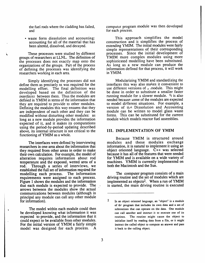been altered, dissolved, and decayed.

groups of researchers at LLNL. The definition of YMIM more complex modules using more<br>the processes does not exactly map onto the sophisticated modelling have been substituted. organizations of the groups. Part of the process As long as a new module can produce the of defining the processes was identifying the information defined for that process, it will work of defining the processes was identifying the information researchers working in each area researchers working in each area.

define them as precisely as was required for the interfaces this way also makes it convenient to modelling effort. The final definition was use different versions of  $\mu$  module. This might modelling effort. The final definition was use different versions of  $\mu$  module. This might developed based on the definition of the be done in order to substitute a smaller faster developed based on the definition of the be done in order to substitute a smaller faster<br>interfaces between them. Thus the modules are running module for a slower module. It is also *interfaces* between them. Thus the modules are running module for a slower module. It is also defined in YMIM in terms of the information that needed because some of the modules are expected defined in YMIM in terms of the information that a needed because some of the modules are expected<br>they are required to provide to other modules. The model different situations. For example, a they are required to provide to other modules. <br>Defining the modules this way ensures that they version of the Dissolution and Accounting Defining the modules this way ensures that they version of the Dissolution and *Accounting*<br>are independent of each other and they can be module can be written to model glass waste are independent of each other and they can be module can be written to model glass waste<br>modified without disturbing other modules: as forms. This can be substituted for the current modified without disturbing other modules: as forms. This can be substituted for the current long as a new module provides the information module which models reactor fuel assemblies. long as a new module provides the information expected of it, and it makes its computations using the period-by-period updating described above, its internal structure is not critical to the **11I. IMPLEMENTATION OF YMIM** functioning of YMIM as a whole.

researchers in one area about the information that information, it is natural to implement it using an they required from other areas in order to make object oriented language. C++ was selected they required from other areas in order to make object oriented language. C++ was selected<br>their own calculation. For example, the model of because it has all of the features that were needed their own calculation. For example, the model of because it has all of the features that were needed<br>alteration requires information about rod for YMIM and is available on a wide variety of alteration requires information about rod for YMIM and is available on a wide variety of temperature and the exposed, wetted area of a machines. YMIM is currently implemented on temperature and the exposed, wetted area of a machines. YMIM is currently rod. Through a series of interviews, we both the Macintosh and the Sun. Through a series of interviews, we established the full set of information required for modelling each process. The information requirements were assigned to each process. driving routine and the set of modules which are Figure 1 shows the modules and the information implemented as objects<sup>2</sup>. When a run of YMIM Figure 1 shows the modules and the information implemented as objects<sup>2</sup>. When a run of YMIM that each module is expected to provide. The strated, the main driving routine is executed that each module is expected to provide. The arrows between the modules show the actu**a**l communications between modules (although in principal any module can call any other module for information).

For the initial version of YMIM a fairly simple instruct the called object to compute was designed for each process. A it back to the calling object. model was designed for each process. A

the fuel rods where the cladding has failed, computer program module was then developed<br>and for each process. for each process.

• waste form dissolution and accounting: This approach simplifies the model accounting for all of the material that has construction and it simplifies the process of construction and it simplifies the process of extending YMIM. The initial modules were fairly simple representations of their corresponding These processes were studied by different processes. Since the initial development of sof researchers at LLNL. The definition of YMIM more complex modules using more the processes does not exactly map onto the sophisticated modelling have been substituted.<br>
organizations of the groups. Part of the process As long as a new module can produce the

Simply identifying the processes did not<br>
e them as precisely as was required for the linterfaces this way also makes it convenient to

Because YMIM is structured around The interfaces were defined by interviewing modules and these modules exchange<br>chers in one area about the information that information, it is natural to implement it using an

The computer program consists of a main driving routine and the set of modules which are

for informa**ti**on). 2 In an **o**bject oriented language, an "**o**bje**c**t" is a module **of** th*,*" pr**o**gram th**a**t inclu**d**es it*s* **own** d**a**ta an**d a s***e*t **of** The model within each module could then subroutines that can operate on the data. One module veloped knowing what information it was can call another and instruct it to execute one of its be developed knowing what information it was **can call another and instruct it to execute one of its** expected to provide, and the information that it **can call another.** The routine might cause the object to expected to provide, and the information that it routines. The routine might cause the object to could expect to be available from other modules. The initialize itself by reading data from a file, or it might **could expect to be available from other modules.** initialize itself by reading data from a file, or it might **For the initial version of YMIM** a fairly simple instruct the called object to compute an answer and pass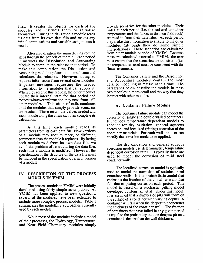modules and instructs them to initialize ...ates at each period (i.e. the rod and container themselves. During initialization a module reads temperatures and the fluxes in the near field rock) themselves. During initialization a module reads temperatures and the fluxes in the near field rock)<br>its data from its own data file and makes any are read in from their data files. At each period its data from its own data file and makes any are read in from their data files. At each period<br>initial computations and variable assignments it they make this information available to the other initial computations and variable assignments it needs.

steps through the periods of the run. Each period these are calculated external to YMIM, the user<br>it instructs the Dissolution and Accounting must ensure that the scenarios are consistent (i.e. it instructs the Dissolution and Accounting must ensure that the scenarios are consistent (i.e. Module to compute the releases that period. To the temperatures used must be consistent with the Module to compute the releases that period. To the temperatures make this computation the Dissolution and fluxes assumed). make this computation the Dissolution and Accounting module updates its internal state and calculates the releases. However, doing so The Container Failure and the Dissolution requires information from several other modules. and Accounting modules contain the most requires information from several other modules. and Accounting modules contain the most<br>It passes messages requesting the needed detailed modelling in YMIM at this time. The It passes messages requesting the needed information to the modules that can supply it. When they receive this request, the other modules two modules in more detail undate their internal state for that period and interact with other modules. update their internal state for that period and request whatever information they need from still<br>other modules. This chain of calls continues until the modules that simply provide scenarios are reached. These return the values needed and are reached. These return the values needed and The container failure module can model the each module along the chain can then complete its each module along the chain can then complete its corrosion of single and double walled containers.<br>
calculation.

parameters from its own data file. New versions container materials. For each wall the user can<br>of a module may require more, or different, specify the corrosion mode to be applied. parameters than the module it replaces. By letting specify the corrosion mode to be applied. each module read from its own data file, we<br>avoid the problem of restructuring the data files corrosion models use deterministic, temperature each time a module is modified. However, the dependent corrosion rates. Typically these are specification of the structure of the data file must<br>specification of the structure of the data file must<br>specification of mild st be included in the specification of a new version of a module.

# IV. DESCRIPTION OF THE PROCESS used to model the corrosion of stampes steel

The process models in YMIM were initially indice to pitting corrosion each period. This • model is based on a stochastic pitting model is based on a stochastic pitting model is based on a stochastic pitting model, YMIM has been applied to new questions, it is assumed that a number of pits will form on several of the modules have been extended to the surface of a container with varying depths. A include more complex process models. Table 1 container will fail when the deepest pit penetrates summarizes the modelling approaches currently summarizes the modelling approaches currently<br>used by each module.<br>effecting that have folled in any given period

While most of the modules include a model  $\frac{1}{2}$  container is deeper than the wall thickness. of their processes, the Hydrology, Temperature, and Near Field Chemistry modules simply

first. It creates the objects for each of the *provide scenarios* for the other modules. Their modules and instructs them to initialize states at each period (i.e. the rod and container modules (although they do some simple interpolations). These scenarios are calculated After initialization the main driving routine from other models outside of YMIM. Because through the periods of the run. Each period these are calculated external to YMIM, the user

paragraphs below describe the models in these two modules in more detail and the way that they

### A. Container Failure Module

It includes temperature dependent models to account for dry oxidation, general aqueous At this time, each module reads its corrosion, and localized (pitting) corrosion of the parameters from its own data file. New versions container materials. For each wall the user can

used to model the corrosion of mild steel container walls.

The localized corrosion model is typically<br>used to model the corrosion of stainless steel container walls. It is a probabilistic model that MODELS IN YMIM<br>estimates the fraction of the container walls that<br>fail due to pitting corrosion each period. This of containers that have failed in any given period is equal to the probability that the deepest pit on a

 $\pmb{\cdot}$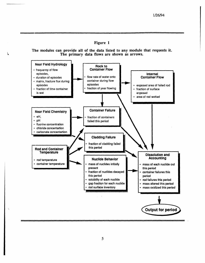# Figure 1

The modules can provide all of the data listed to any module that requests it. The primary data flows are shown as arrows.



 $\epsilon$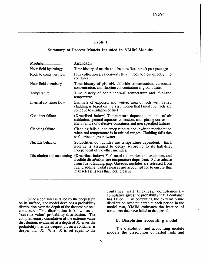# **Table 1**

## **Summary of Process Models Incl**u**ded in YMIM Modules**

| <b>Module</b>           | Approach                                                                                                                                                                                                                                                                                                                          |
|-------------------------|-----------------------------------------------------------------------------------------------------------------------------------------------------------------------------------------------------------------------------------------------------------------------------------------------------------------------------------|
| Near-field hydrology    | Time history of matrix and fracture flux in rock past package                                                                                                                                                                                                                                                                     |
| Rock to container flow  | Flux collection area converts flux in rock to flow directly into<br>container                                                                                                                                                                                                                                                     |
| Near-field chemistry    | Time history of pH, eH, chloride concentration, carbonate<br>concentration, and fluorine concentration in groundwater                                                                                                                                                                                                             |
| Temperature             | Time history of container-wall temperature and fuel-rod<br>temperature                                                                                                                                                                                                                                                            |
| Internal container flow | Estimate of exposed and wetted area of rods with failed<br>cladding is based on the assumption that failed fuel rods are<br>split due to oxidation of fuel                                                                                                                                                                        |
| Container failure       | (Described below) Temperature dependent models of air<br>oxidation, general aqueous corrosion, and pitting corrosion;<br>Early failure of defective containers and user specified failures                                                                                                                                        |
| Cladding failure        | Cladding fails due to creep rupture and hydride reorientation<br>when rod temperature is in critical ranges; Cladding fails due<br>to flucrine in groundwater.                                                                                                                                                                    |
| Nuclide behavior        | Solubilities of nuclides are temperature dependent; Each<br>nuclide is assumed to decay according to its half-life,<br>independent of the other nuclides.                                                                                                                                                                         |
|                         | Dissolution and accounting (Described below) Fuel-matrix alteration and oxidation, and<br>nuclide dissolution are temperature dependent; Pulse release<br>from fuel-cladding gap; Gaseous nuclides are released from<br>fuel cladding; Total releases are accounted for to ensure that<br>max release is less than total present. |

Since a container is failed by the deepest pit has failed. By computing the extreme value<br>on its surface, the model develops a probability distribution over pit depth at each period in the distribution over the depth of the deepest pit on a model run, YMIM estimates the fracontainer. This distribution is known as an containers that have failed at that period. container. This distribution is known as an "extreme value" probability distribution. The complementary cumulative of the extreme value **B. Dissolution accounting** model distribution, evaluated at a depth of X, gives the probability that the deepest pit on a container is

il 6 de junho de 1950 e 1960 e 1960 e 1960 e 1960 e 1960 e 1960 e 1960 e 1960 e 1960 e 1960 e 1960 e 1960 e 19

c**o**ntainer wall thickness, c**o**mplementary cumulative gives the probability that a container distribution over pit depth at each period in the model run, YMIM estimates the fraction of

probability that the deepest pit on a container is<br>deeper than X. When X is set equal to the models the dissolution of foiled rods and models the dissolution of failed rods and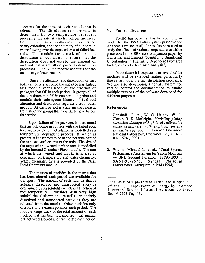accounts for the mass of each nuclide that is released. The dissolution rate estimate is  $V$ . Future directions determined by two temperature dependent processes, the rate at which nuclides are freed YMIM has been used as the source term<br>from the fuel matrix by either aqueous alteration model for the 1993 Total System performance from the fuel matrix by either aqueous alteration model for the 1993 Total System performance<br>or dry oxidation, and the solubility of nuclides in Analysis (Wilson et al). It has also been used to or dry oxidation, and the solubility of nuclides in Analysis (Wilson et al). It has also been used to water flowing over the exposed area of failed fuel study the effects of various temperature sensitive water flowing over the exposed area of failed fuel study the effects of various temperature sensitive rods. This module keeps track of the total processes in the EBS (see companion paper by rods. This module keeps track of the total dissolution in containers to ensure that the dissolution does not exceed the amount of Uncertainties in Thermally Dependent material that is actually exposed to dissolution for Repository Performance Analysis"). material that is actually exposed to dissolution processes. Finally, the module accounts for the

rods can only start once the package has failed, We are also developing a formal system for this module keeps track of the fraction of version control and documentation to handle this module keeps track of the fraction of version control and documentation to handle packages that fail in each period. It groups all of multiple versions of the software developed for packages that fail in each period. It groups all of multiple versions of the containers that fail in one period together and different purposes. the containers that fail in one period together and models their subsequent history of fuel rod alteration and dissolution separately from other groups. At each period is sums up the releases References from all of the groups that have failed at or before

Upon failure of the package, it is assumed<br>that air will come in contact with the failed rods<br>waste containers, with emphasis on the leading to oxidation. Oxidation is modelled as a *stochastic approach*, Lawrence Livermore temperature dependent process. If water is National Laboratory, Livermore CA, UCRLtemperature dependent process. If water is National Laboratory, National Laboratory, Lemma is not approximate CA, UCRL-11624 (1993) present, it is assumed to be in contact with part of the exposed surface area of the rods. The size of the exposed and wetted surface area is modelled by the Internal Container Flow module. The rate 2. Wilson, Michael L. et al., "Total-System at which the wetted fuel matrix is altered is Performance Assessment for Yucca Mountain at which the wetted fuel matrix is altered is dependent on temperature and water chemistry. -- SNL Second Iteration (TSPA-1993)",<br>Water chemistry data is provided by the Near SAND93-2675, Sandia National Water chemistry data is provided by the Near Field Chemistry module.

The masses of nuclides in the matrix that has been altered each period are available for transport. The amount of each nuclide that is rod temperature. Nuclides with very high No. <sup>l</sup>*d***-**7405**-**Eng**-**48. solubilities ("alteration limited") are entirely dissolved and transported away as they are released from the matrix. Other nuclides only dissolve to the extent possible each period. The module keeps track of the total amount of each nuclide that has been released from the matrix, but not yet dissolved and transported each period.

 $\ddot{\cdot}$ 

Gansemer and Lamont "Identifying Significant<br>Uncertainties in Thermally Dependent Processes

In the future it is expected that several of the modules will be extended further, particularly Since the alteration and dissolution of fuel those that model the fuel dissolution processes.<br>
Since the package has failed, We are also developing a formal system for

- 1. Henshall, G. A., W. G. Halsey, W. L. Clarke, R. D. McCright, *Modeling pitting* waste containers, with emphasis on the stochastic approach, Lawrence Livermore
- Laboratories, Albuquerque, NM (1994).

transport. The amount of each nuclide that is This work was performed under the auspices<br>actually dissolved and transported away is a of the U.S. Department of Enemy by Lawren actually dissolved and transported away is of the U.S. Department of Energy by Lawrence<br>determined by its solubility which is a function of the U.S. Department of Energy by Lawrence determined by its solubility which is a function of the Livermore National Laboratory under contract rod temperature. Nuclides with very high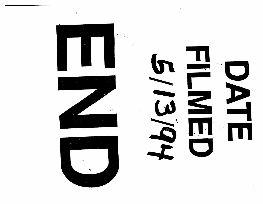



 $\frac{1}{4}$